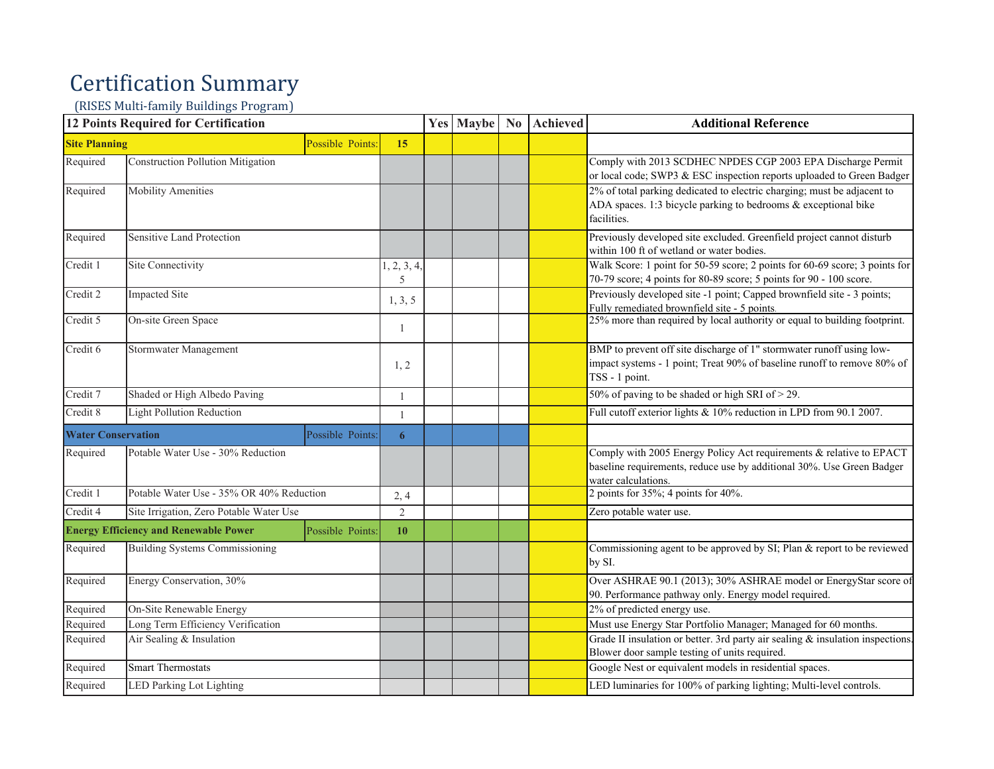## Certification Summary

(RISES Multi-family Buildings Program)

|                                               | <b>12 Points Required for Certification</b>                      |                  | <b>Yes Maybe</b> | N <sub>0</sub> | <b>Achieved</b> | <b>Additional Reference</b>                                                                                                                                         |
|-----------------------------------------------|------------------------------------------------------------------|------------------|------------------|----------------|-----------------|---------------------------------------------------------------------------------------------------------------------------------------------------------------------|
| <b>Site Planning</b>                          | Possible Points:                                                 | 15               |                  |                |                 |                                                                                                                                                                     |
| Required                                      | <b>Construction Pollution Mitigation</b>                         |                  |                  |                |                 | Comply with 2013 SCDHEC NPDES CGP 2003 EPA Discharge Permit<br>or local code; SWP3 & ESC inspection reports uploaded to Green Badger                                |
| Required                                      | <b>Mobility Amenities</b>                                        |                  |                  |                |                 | 2% of total parking dedicated to electric charging; must be adjacent to<br>ADA spaces. 1:3 bicycle parking to bedrooms & exceptional bike<br>facilities.            |
| Required                                      | Sensitive Land Protection                                        |                  |                  |                |                 | Previously developed site excluded. Greenfield project cannot disturb<br>within 100 ft of wetland or water bodies.                                                  |
| Credit 1                                      | Site Connectivity                                                | 1, 2, 3, 4,<br>5 |                  |                |                 | Walk Score: 1 point for 50-59 score; 2 points for 60-69 score; 3 points for<br>70-79 score; 4 points for 80-89 score; 5 points for 90 - 100 score.                  |
| Credit 2                                      | <b>Impacted Site</b>                                             | 1, 3, 5          |                  |                |                 | Previously developed site -1 point; Capped brownfield site - 3 points;<br>Fully remediated brownfield site - 5 points.                                              |
| Credit 5                                      | On-site Green Space                                              | 1                |                  |                |                 | 25% more than required by local authority or equal to building footprint.                                                                                           |
| Credit 6                                      | Stormwater Management                                            | 1, 2             |                  |                |                 | BMP to prevent off site discharge of 1" stormwater runoff using low-<br>impact systems - 1 point; Treat 90% of baseline runoff to remove 80% of<br>TSS - 1 point.   |
| Credit 7                                      | Shaded or High Albedo Paving                                     |                  |                  |                |                 | 50% of paving to be shaded or high SRI of > 29.                                                                                                                     |
| Credit 8                                      | <b>Light Pollution Reduction</b>                                 | 1                |                  |                |                 | Full cutoff exterior lights $& 10\%$ reduction in LPD from 90.1 2007.                                                                                               |
| <b>Water Conservation</b><br>Possible Points: |                                                                  | 6                |                  |                |                 |                                                                                                                                                                     |
| Required                                      | Potable Water Use - 30% Reduction                                |                  |                  |                |                 | Comply with 2005 Energy Policy Act requirements & relative to EPACT<br>baseline requirements, reduce use by additional 30%. Use Green Badger<br>water calculations. |
| Credit 1                                      | Potable Water Use - 35% OR 40% Reduction                         | 2,4              |                  |                |                 | 2 points for $35\%$ ; 4 points for 40%.                                                                                                                             |
| Credit 4                                      | Site Irrigation, Zero Potable Water Use                          | 2                |                  |                |                 | Zero potable water use.                                                                                                                                             |
|                                               | <b>Energy Efficiency and Renewable Power</b><br>Possible Points: | 10               |                  |                |                 |                                                                                                                                                                     |
| Required                                      | <b>Building Systems Commissioning</b>                            |                  |                  |                |                 | Commissioning agent to be approved by SI; Plan & report to be reviewed<br>by SI.                                                                                    |
| Required                                      | Energy Conservation, 30%                                         |                  |                  |                |                 | Over ASHRAE 90.1 (2013); 30% ASHRAE model or EnergyStar score of<br>90. Performance pathway only. Energy model required.                                            |
| Required                                      | On-Site Renewable Energy                                         |                  |                  |                |                 | 2% of predicted energy use.                                                                                                                                         |
| Required                                      | Long Term Efficiency Verification                                |                  |                  |                |                 | Must use Energy Star Portfolio Manager; Managed for 60 months.                                                                                                      |
| Required                                      | Air Sealing & Insulation                                         |                  |                  |                |                 | Grade II insulation or better. 3rd party air sealing & insulation inspections.<br>Blower door sample testing of units required.                                     |
| Required                                      | <b>Smart Thermostats</b>                                         |                  |                  |                |                 | Google Nest or equivalent models in residential spaces.                                                                                                             |
| Required                                      | <b>LED Parking Lot Lighting</b>                                  |                  |                  |                |                 | LED luminaries for 100% of parking lighting; Multi-level controls.                                                                                                  |